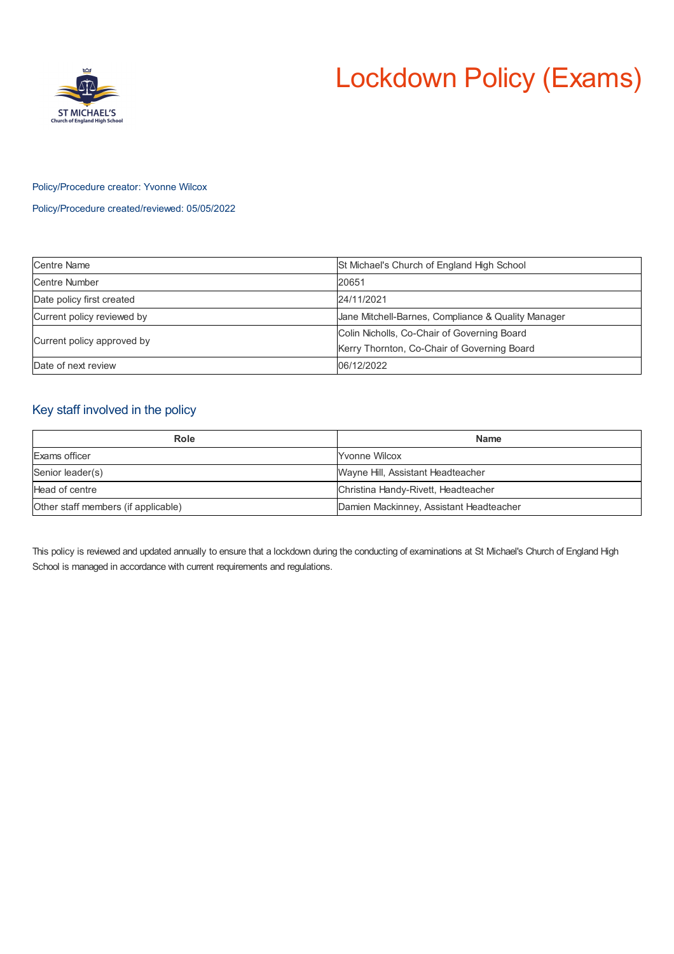# Lockdown Policy (Exams)



## Policy/Procedure creator: Yvonne Wilcox

Policy/Procedure created/reviewed: 05/05/2022

| <b>Centre Name</b>         | St Michael's Church of England High School         |
|----------------------------|----------------------------------------------------|
| Centre Number              | 20651                                              |
| Date policy first created  | 24/11/2021                                         |
| Current policy reviewed by | Jane Mitchell-Barnes, Compliance & Quality Manager |
| Current policy approved by | Colin Nicholls, Co-Chair of Governing Board        |
|                            | Kerry Thornton, Co-Chair of Governing Board        |
| Date of next review        | 06/12/2022                                         |

# Key staff involved in the policy

| Role                                | <b>Name</b>                             |
|-------------------------------------|-----------------------------------------|
| Exams officer                       | <b>Yvonne Wilcox</b>                    |
| Senior leader(s)                    | Wayne Hill, Assistant Headteacher       |
| Head of centre                      | Christina Handy-Rivett, Headteacher     |
| Other staff members (if applicable) | Damien Mackinney, Assistant Headteacher |

This policy is reviewed and updated annually to ensure that a lockdown during the conducting of examinations at St Michael's Church of England High School is managed in accordance with current requirements and regulations.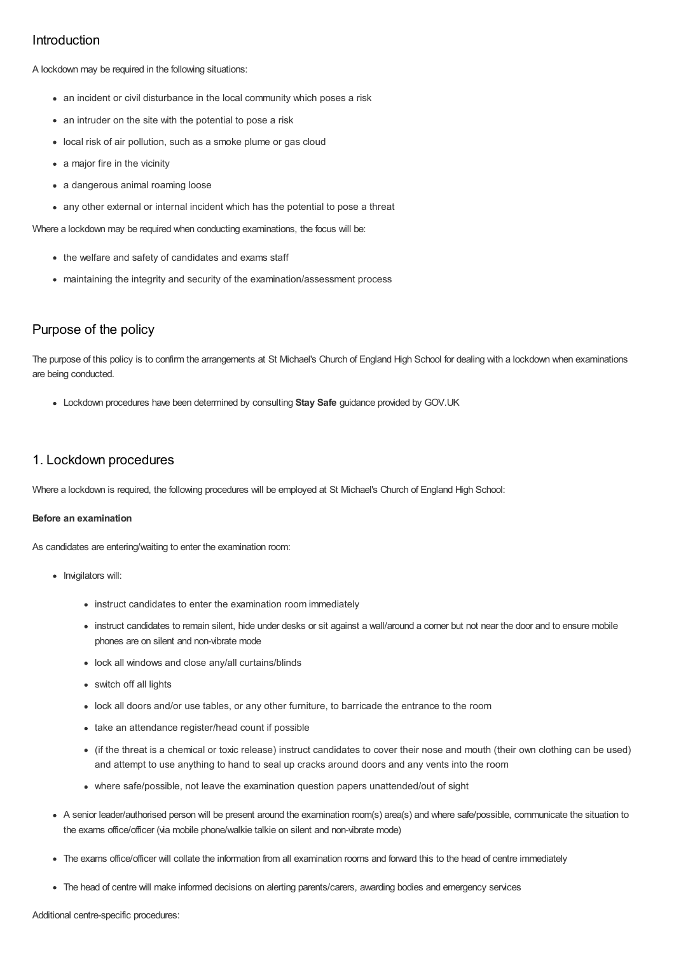# Introduction

A lockdown may be required in the following situations:

- an incident or civil disturbance in the local community which poses a risk
- an intruder on the site with the potential to pose a risk
- local risk of air pollution, such as a smoke plume or gas cloud
- a major fire in the vicinity
- a dangerous animal roaming loose
- any other external or internal incident which has the potential to pose a threat

Where a lockdown may be required when conducting examinations, the focus will be:

- the welfare and safety of candidates and exams staff
- maintaining the integrity and security of the examination/assessment process

# Purpose of the policy

The purpose of this policy is to confirm the arrangements at St Michael's Church of England High School for dealing with a lockdown when examinations are being conducted.

Lockdown procedures have been determined by consulting **Stay Safe** guidance provided by GOV.UK

# 1. Lockdown procedures

Where a lockdown is required, the following procedures will be employed at St Michael's Church of England High School:

## **Before an examination**

As candidates are entering/waiting to enter the examination room:

- Invigilators will:
	- instruct candidates to enter the examination room immediately
	- instruct candidates to remain silent, hide under desks or sit against a wall/around a corner but not near the door and to ensure mobile phones are on silent and non-vibrate mode
	- lock all windows and close any/all curtains/blinds
	- switch off all lights
	- lock all doors and/or use tables, or any other furniture, to barricade the entrance to the room
	- take an attendance register/head count if possible
	- (if the threat is a chemical or toxic release) instruct candidates to cover their nose and mouth (their own clothing can be used) and attempt to use anything to hand to seal up cracks around doors and any vents into the room
	- where safe/possible, not leave the examination question papers unattended/out of sight
- A senior leader/authorised person will be present around the examination room(s) area(s) and where safe/possible, communicate the situation to the exams office/officer (via mobile phone/walkie talkie on silent and non-vibrate mode)
- The exams office/officer will collate the information from all examination rooms and forward this to the head of centre immediately
- The head of centre will make informed decisions on alerting parents/carers, awarding bodies and emergency services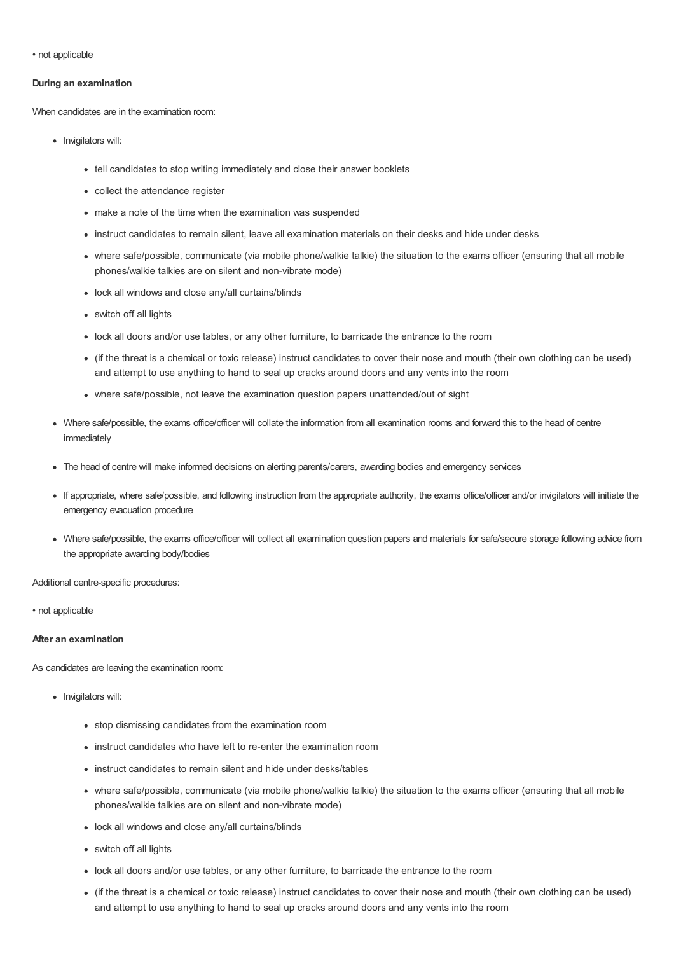• not applicable

#### **During an examination**

When candidates are in the examination room:

- Invigilators will:
	- tell candidates to stop writing immediately and close their answer booklets
	- collect the attendance register
	- make a note of the time when the examination was suspended
	- instruct candidates to remain silent, leave all examination materials on their desks and hide under desks
	- where safe/possible, communicate (via mobile phone/walkie talkie) the situation to the exams officer (ensuring that all mobile phones/walkie talkies are on silent and non-vibrate mode)
	- lock all windows and close any/all curtains/blinds
	- switch off all lights
	- lock all doors and/or use tables, or any other furniture, to barricade the entrance to the room
	- (if the threat is a chemical or toxic release) instruct candidates to cover their nose and mouth (their own clothing can be used) and attempt to use anything to hand to seal up cracks around doors and any vents into the room
	- where safe/possible, not leave the examination question papers unattended/out of sight
- Where safe/possible, the exams office/officer will collate the information from all examination rooms and forward this to the head of centre immediately
- The head of centre will make informed decisions on alerting parents/carers, awarding bodies and emergency services
- If appropriate, where safe/possible, and following instruction from the appropriate authority, the exams office/officer and/or invigilators will initiate the emergency evacuation procedure
- Where safe/possible, the exams office/officer will collect all examination question papers and materials for safe/secure storage following advice from the appropriate awarding body/bodies

Additional centre-specific procedures:

• not applicable

#### **After an examination**

As candidates are leaving the examination room:

- Invigilators will:
	- stop dismissing candidates from the examination room
	- instruct candidates who have left to re-enter the examination room
	- instruct candidates to remain silent and hide under desks/tables
	- where safe/possible, communicate (via mobile phone/walkie talkie) the situation to the exams officer (ensuring that all mobile phones/walkie talkies are on silent and non-vibrate mode)
	- lock all windows and close any/all curtains/blinds
	- switch off all lights
	- lock all doors and/or use tables, or any other furniture, to barricade the entrance to the room
	- (if the threat is a chemical or toxic release) instruct candidates to cover their nose and mouth (their own clothing can be used) and attempt to use anything to hand to seal up cracks around doors and any vents into the room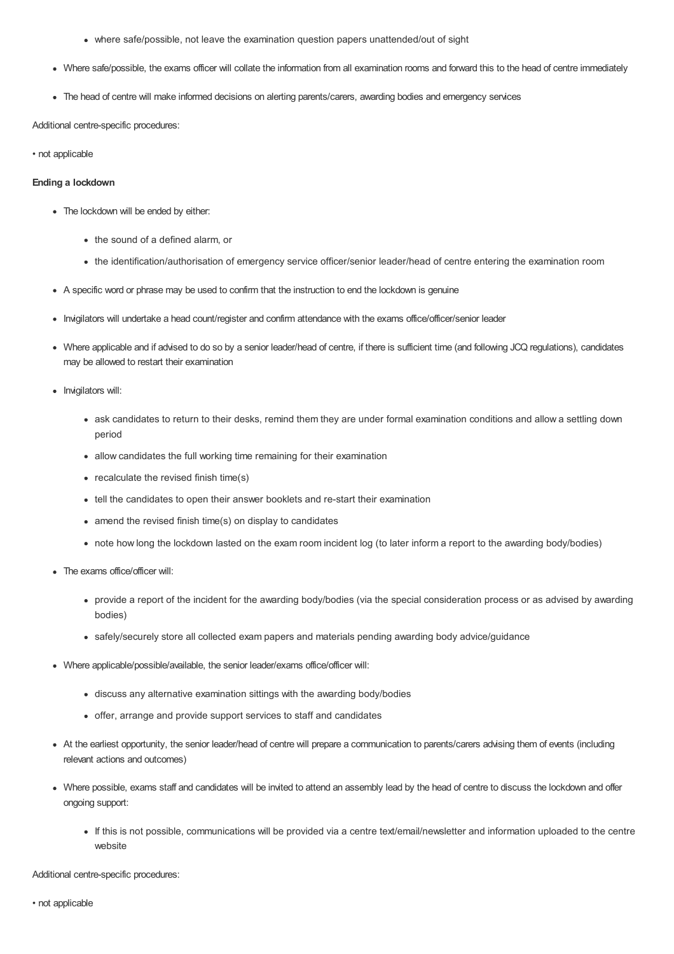- where safe/possible, not leave the examination question papers unattended/out of sight
- Where safe/possible, the exams officer will collate the information from all examination rooms and forward this to the head of centre immediately
- The head of centre will make informed decisions on alerting parents/carers, awarding bodies and emergency services

Additional centre-specific procedures:

• not applicable

#### **Ending a lockdown**

- The lockdown will be ended by either:
	- the sound of a defined alarm, or
	- the identification/authorisation of emergency service officer/senior leader/head of centre entering the examination room
- A specific word or phrase may be used to confirm that the instruction to end the lockdown is genuine
- Invigilators will undertake a head count/register and confirm attendance with the exams office/officer/senior leader
- Where applicable and if advised to do so by a senior leader/head of centre, if there is sufficient time (and following JCQ regulations), candidates may be allowed to restart their examination
- Invigilators will:
	- ask candidates to return to their desks, remind them they are under formal examination conditions and allow a settling down period
	- allow candidates the full working time remaining for their examination
	- recalculate the revised finish time(s)
	- tell the candidates to open their answer booklets and re-start their examination
	- amend the revised finish time(s) on display to candidates
	- note how long the lockdown lasted on the exam room incident log (to later inform a report to the awarding body/bodies)
- The exams office/officer will:
	- provide a report of the incident for the awarding body/bodies (via the special consideration process or as advised by awarding bodies)
	- safely/securely store all collected exam papers and materials pending awarding body advice/guidance
- Where applicable/possible/available, the senior leader/exams office/officer will:
	- discuss any alternative examination sittings with the awarding body/bodies
	- offer, arrange and provide support services to staff and candidates
- At the earliest opportunity, the senior leader/head of centre will prepare a communication to parents/carers advising them of events (including relevant actions and outcomes)
- Where possible, exams staff and candidates will be invited to attend an assembly lead by the head of centre to discuss the lockdown and offer ongoing support:
	- If this is not possible, communications will be provided via a centre text/email/newsletter and information uploaded to the centre website

Additional centre-specific procedures: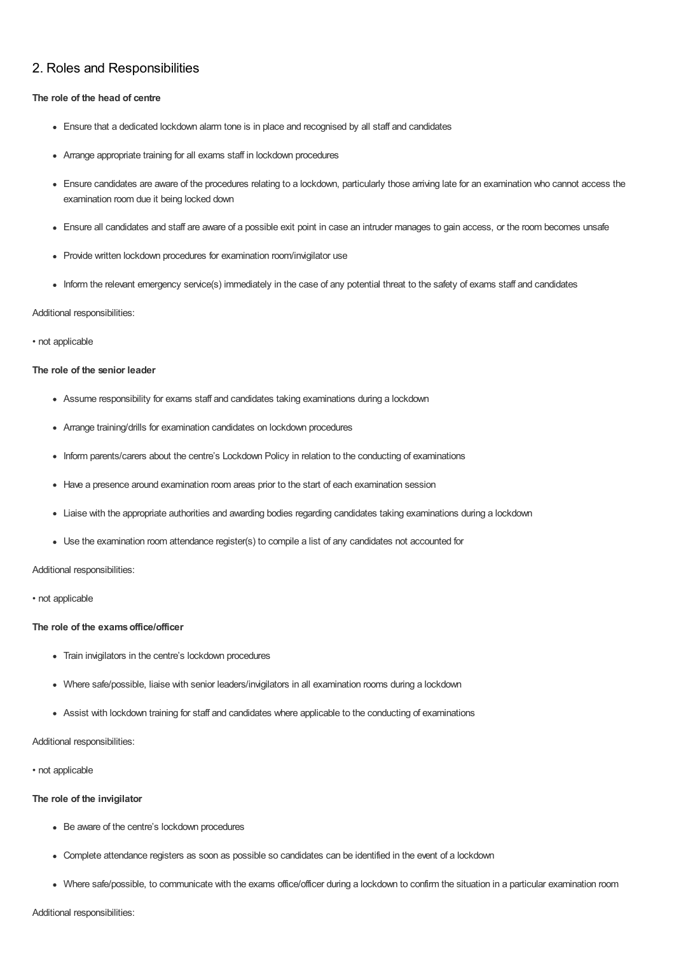# 2. Roles and Responsibilities

#### **The role of the head of centre**

- Ensure that a dedicated lockdown alarm tone is in place and recognised by all staff and candidates
- Arrange appropriate training for all exams staff in lockdown procedures
- Ensure candidates are aware of the procedures relating to a lockdown, particularly those arriving late for an examination who cannot access the examination room due it being locked down
- Ensure all candidates and staff are aware of a possible exit point in case an intruder manages to gain access, or the room becomes unsafe
- Provide written lockdown procedures for examination room/invigilator use
- Inform the relevant emergency service(s) immediately in the case of any potential threat to the safety of exams staff and candidates

#### Additional responsibilities:

#### • not applicable

## **The role of the senior leader**

- Assume responsibility for exams staff and candidates taking examinations during a lockdown
- Arrange training/drills for examination candidates on lockdown procedures
- Inform parents/carers about the centre's Lockdown Policy in relation to the conducting of examinations
- Have a presence around examination room areas prior to the start of each examination session
- Liaise with the appropriate authorities and awarding bodies regarding candidates taking examinations during a lockdown
- Use the examination room attendance register(s) to compile a list of any candidates not accounted for

## Additional responsibilities:

• not applicable

## **The role of the examsoffice/officer**

- Train invigilators in the centre's lockdown procedures
- Where safe/possible, liaise with senior leaders/invigilators in all examination rooms during a lockdown
- Assist with lockdown training for staff and candidates where applicable to the conducting of examinations

#### Additional responsibilities:

#### • not applicable

## **The role of the invigilator**

- Be aware of the centre's lockdown procedures
- Complete attendance registers as soon as possible so candidates can be identified in the event of a lockdown
- Where safe/possible, to communicate with the exams office/officer during a lockdown to confirm the situation in a particular examination room

## Additional responsibilities: